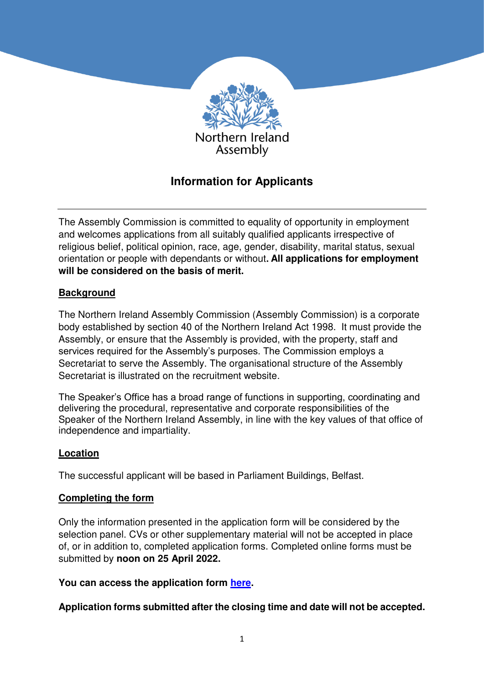

# **Information for Applicants**

The Assembly Commission is committed to equality of opportunity in employment and welcomes applications from all suitably qualified applicants irrespective of religious belief, political opinion, race, age, gender, disability, marital status, sexual orientation or people with dependants or without**. All applications for employment will be considered on the basis of merit.**

# **Background**

The Northern Ireland Assembly Commission (Assembly Commission) is a corporate body established by section 40 of the Northern Ireland Act 1998. It must provide the Assembly, or ensure that the Assembly is provided, with the property, staff and services required for the Assembly's purposes. The Commission employs a Secretariat to serve the Assembly. The organisational structure of the Assembly Secretariat is illustrated on the recruitment website.

The Speaker's Office has a broad range of functions in supporting, coordinating and delivering the procedural, representative and corporate responsibilities of the Speaker of the Northern Ireland Assembly, in line with the key values of that office of independence and impartiality.

# **Location**

The successful applicant will be based in Parliament Buildings, Belfast.

# **Completing the form**

Only the information presented in the application form will be considered by the selection panel. CVs or other supplementary material will not be accepted in place of, or in addition to, completed application forms. Completed online forms must be submitted by **noon on 25 April 2022.**

#### **You can access the application form [here.](https://niassli.webitrent.com/niassli_webrecruitment/wrd/run/ETREC106gf.display_srch_all?WVID=74798304mQ)**

**Application forms submitted after the closing time and date will not be accepted.**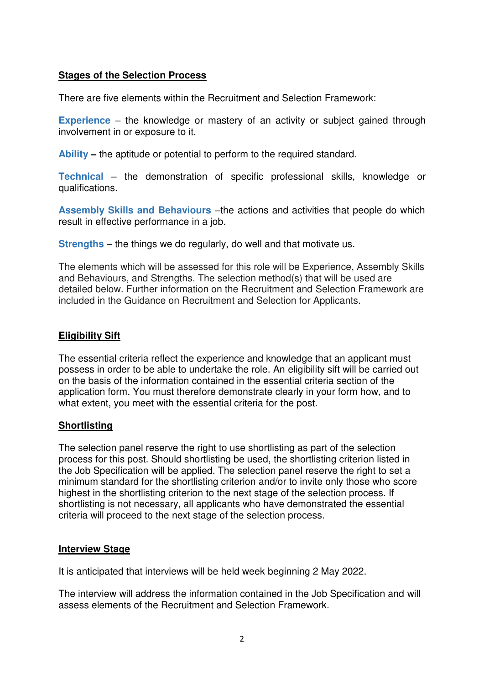## **Stages of the Selection Process**

There are five elements within the Recruitment and Selection Framework:

**Experience** – the knowledge or mastery of an activity or subject gained through involvement in or exposure to it.

**Ability –** the aptitude or potential to perform to the required standard.

**Technical** – the demonstration of specific professional skills, knowledge or qualifications.

**Assembly Skills and Behaviours** –the actions and activities that people do which result in effective performance in a job.

**Strengths** – the things we do regularly, do well and that motivate us.

The elements which will be assessed for this role will be Experience, Assembly Skills and Behaviours, and Strengths. The selection method(s) that will be used are detailed below. Further information on the Recruitment and Selection Framework are included in the Guidance on Recruitment and Selection for Applicants.

## **Eligibility Sift**

The essential criteria reflect the experience and knowledge that an applicant must possess in order to be able to undertake the role. An eligibility sift will be carried out on the basis of the information contained in the essential criteria section of the application form. You must therefore demonstrate clearly in your form how, and to what extent, you meet with the essential criteria for the post.

# **Shortlisting**

The selection panel reserve the right to use shortlisting as part of the selection process for this post. Should shortlisting be used, the shortlisting criterion listed in the Job Specification will be applied. The selection panel reserve the right to set a minimum standard for the shortlisting criterion and/or to invite only those who score highest in the shortlisting criterion to the next stage of the selection process. If shortlisting is not necessary, all applicants who have demonstrated the essential criteria will proceed to the next stage of the selection process.

#### **Interview Stage**

It is anticipated that interviews will be held week beginning 2 May 2022.

The interview will address the information contained in the Job Specification and will assess elements of the Recruitment and Selection Framework.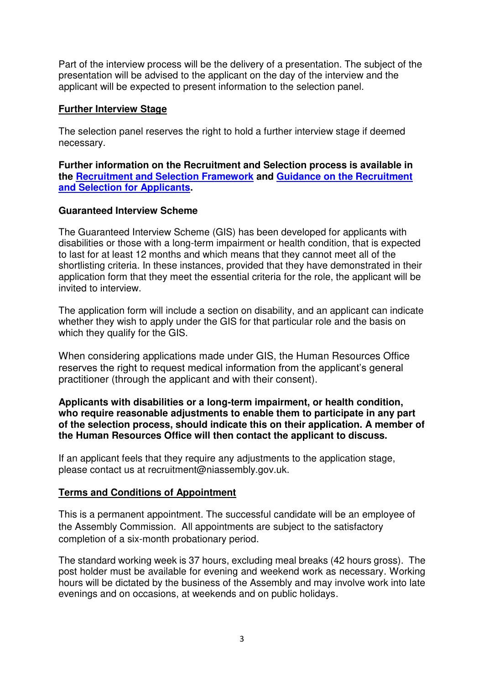Part of the interview process will be the delivery of a presentation. The subject of the presentation will be advised to the applicant on the day of the interview and the applicant will be expected to present information to the selection panel.

## **Further Interview Stage**

The selection panel reserves the right to hold a further interview stage if deemed necessary.

**Further information on the Recruitment and Selection process is available in the [Recruitment and Selection Framework](https://niarecruitment.org/recruitment-and-selection-framework-2/) and [Guidance on the Recruitment](https://niarecruitment.org/guidance-on-recruitment-and-selection-for-applicants-2/)  [and Selection for Applicants.](https://niarecruitment.org/guidance-on-recruitment-and-selection-for-applicants-2/)** 

## **Guaranteed Interview Scheme**

The Guaranteed Interview Scheme (GIS) has been developed for applicants with disabilities or those with a long-term impairment or health condition, that is expected to last for at least 12 months and which means that they cannot meet all of the shortlisting criteria. In these instances, provided that they have demonstrated in their application form that they meet the essential criteria for the role, the applicant will be invited to interview.

The application form will include a section on disability, and an applicant can indicate whether they wish to apply under the GIS for that particular role and the basis on which they qualify for the GIS.

When considering applications made under GIS, the Human Resources Office reserves the right to request medical information from the applicant's general practitioner (through the applicant and with their consent).

#### **Applicants with disabilities or a long-term impairment, or health condition, who require reasonable adjustments to enable them to participate in any part of the selection process, should indicate this on their application. A member of the Human Resources Office will then contact the applicant to discuss.**

If an applicant feels that they require any adjustments to the application stage, please contact us at recruitment@niassembly.gov.uk.

# **Terms and Conditions of Appointment**

This is a permanent appointment. The successful candidate will be an employee of the Assembly Commission. All appointments are subject to the satisfactory completion of a six-month probationary period.

The standard working week is 37 hours, excluding meal breaks (42 hours gross). The post holder must be available for evening and weekend work as necessary. Working hours will be dictated by the business of the Assembly and may involve work into late evenings and on occasions, at weekends and on public holidays.